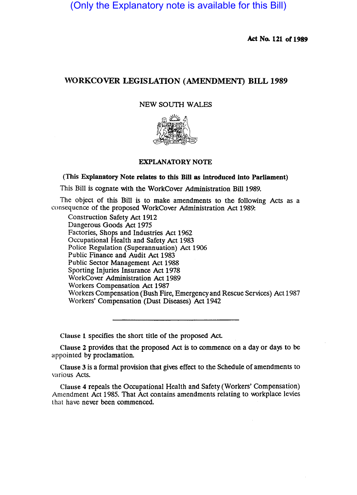(Only the Explanatory note is available for this Bill)

Act No. 121 of 1989

# WORKCOVER LEGISLATION (AMENDMENT) BILL 1989

# NEW SOUTH WALES



# EXPLANATORY NOTE

# (This Explanatory Note relates to this Bill as introduced into Parliament)

This Bill is cognate with the WorkCover Administration Bill 1989.

The Object of this Bill is to make amendments to the following Acts as a consequence of the proposed WorkCover Administration Act 1989:

Construction Safety Act 1912 Dangerous Goods Act 1975 Factories, Shops and Industries Act 1962 Occupational Health and Safety Act 1983 Police Regulation (Superannuation) Act 1906 Public Finance and Audit Act 1983 Public Sector Management Act 1988 Sporting Injuries Insurance Act 1978 WorkCover Administration Act 1989 Workers Compensation Act 1987 Workers Compensation (Bush Fire, Emergency and Rescue Services) Act 1987 Workers' Compensation (Dust Diseases) Act 1942

Clause 1 specifies the short title of the proposed Act

Clause 2 provides that the proposed Act is to commence on a day or days to be appointed by proclamation.

Clause 3 is a formal provision that gives effect to the Schedule of amendments to various Acts.

Clause 4 repeals the Occupational Health and Safety (Workers' Compensation) Amendment Act 1985. That Act contains amendments relating to workplace levies that have never been commenced.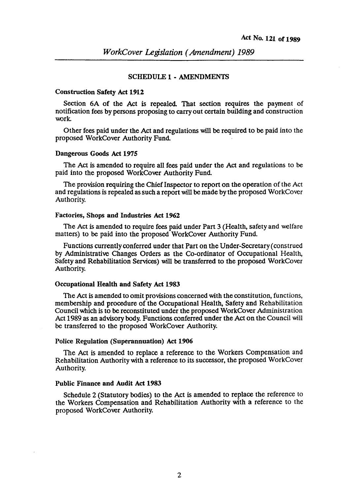# SCHEDULE 1 - AMENDMENTS

### Construction Safety Act 1912

Section 6A of the Act is repealed. That section requires the payment of notification fees by persons proposing to carry out certain building and construction work.

Other fees paid under the Act and regulations will be required to be paid into the proposed WorkCover Authority Fund

#### Dangerous Goods Act 1975

The Act is amended to require all fees paid under the Act and regulations to be paid into the proposed WorkCover Authority Fund.

The provision requiring the Chief Inspector to report on the operation of the Act and regulations is repealed as such a report will be made by the proposed WorkCover Authority.

#### Factories, Shops and Industries Act 1962

The Act is amended to require fees paid under Part 3 (Health, safety and welfare matters) to be paid into the proposed WorkCover Authority Fund.

Functions currently conferred under that Part on the Under-Secretary (construed by Administrative Changes Orders as the Co-ordinator of Occupational Health, Safety and Rehabilitation Services) will be transferred to the proposed WorkCover Authority.

#### Occupational Health and Safety Act 1983

The Act is amended to omit provisions concerned with the constitution, functions, membership and procedure of the Occupational Health, Safety and Rehabilitation Council which is to be reconstituted under the proposed WorkCover Administration Act 1989 as an advisory body. Functions conferred under the Act on the Council will be transferred to the proposed WorkCover Authority.

#### Police Regulation (Superannuation) Act 1906

The Act is amended to replace a reference to the Workers Compensation and Rehabilitation Authority with a reference to its successor, the proposed WorkCover Authority.

# Public Finance and Audit Act 1983

Schedule 2 (Statutory bodies) to the Act is amended to replace the reference to the Workers Compensation and Rehabilitation Authority with a reference to the proposed WorkCover Authority.